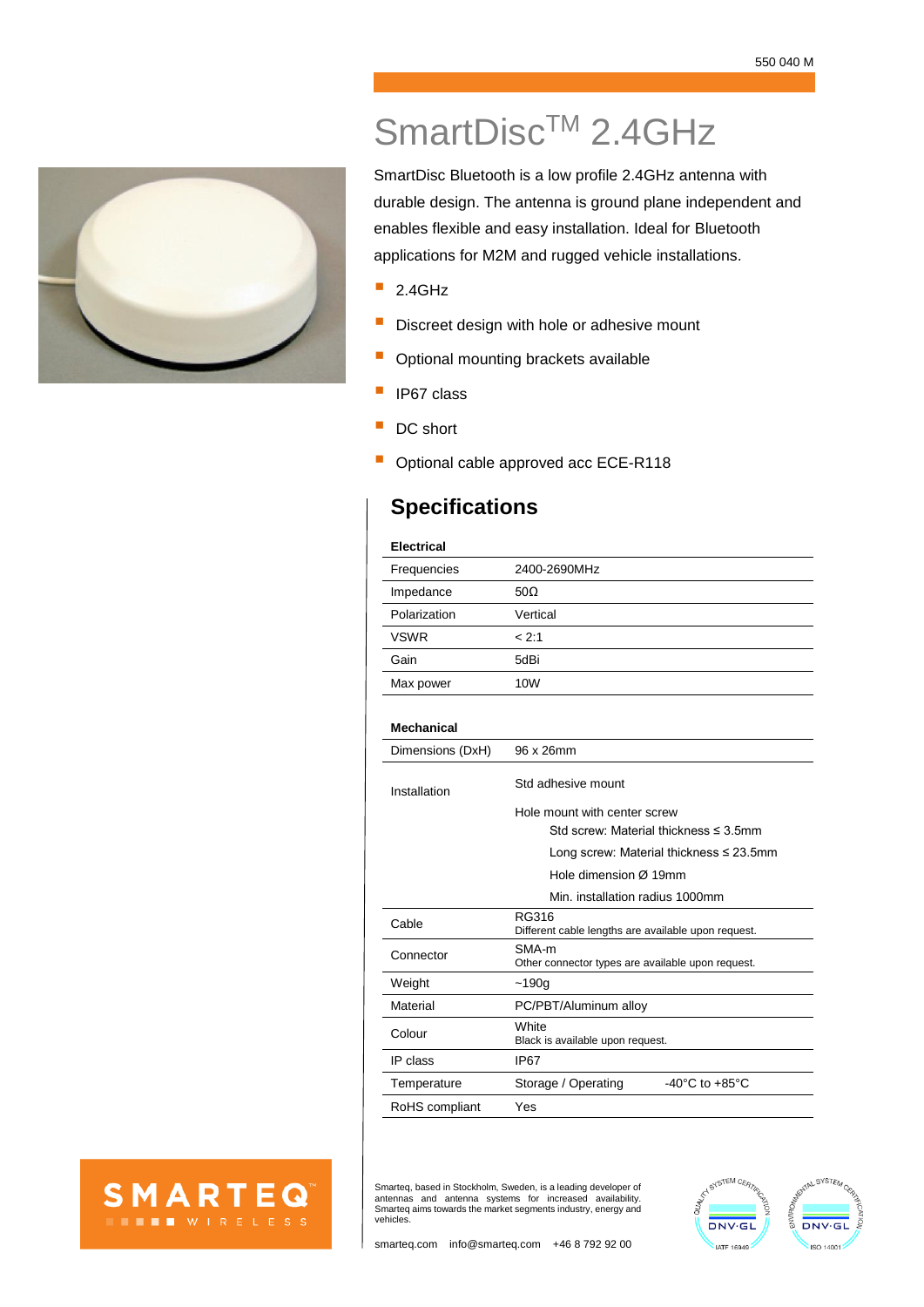

## SmartDisc<sup>™</sup> 2.4GHz

SmartDisc Bluetooth is a low profile 2.4GHz antenna with durable design. The antenna is ground plane independent and enables flexible and easy installation. Ideal for Bluetooth applications for M2M and rugged vehicle installations.

- $\blacksquare$  2.4GHz
- Discreet design with hole or adhesive mount
- Optional mounting brackets available
- **I** IP67 class
- DC short
- Optional cable approved acc ECE-R118

## **Specifications**

| <b>Electrical</b> |              |
|-------------------|--------------|
| Frequencies       | 2400-2690MHz |
| Impedance         | 50 $\Omega$  |
| Polarization      | Vertical     |
| <b>VSWR</b>       | < 2:1        |
| Gain              | 5dBi         |
| Max power         | 10W          |
|                   |              |

## **Mechanical**

| Dimensions (DxH) | 96 x 26mm                                                    |
|------------------|--------------------------------------------------------------|
| Installation     | Std adhesive mount                                           |
|                  | Hole mount with center screw                                 |
|                  | Std screw: Material thickness $\leq$ 3 5mm                   |
|                  | Long screw: Material thickness $\leq 23.5$ mm                |
|                  | Hole dimension Ø 19mm                                        |
|                  | Min. installation radius 1000mm                              |
| Cable            | RG316<br>Different cable lengths are available upon request. |
| Connector        | SMA-m<br>Other connector types are available upon request.   |
| Weight           | $-190q$                                                      |
| Material         | PC/PBT/Aluminum alloy                                        |
| Colour           | White<br>Black is available upon request.                    |
| IP class         | IP67                                                         |
| Temperature      | $-40^{\circ}$ C to $+85^{\circ}$ C<br>Storage / Operating    |
| RoHS compliant   | Yes                                                          |



Smarteq, based in Stockholm, Sweden, is a leading developer of antennas and antenna systems for increased availability. Smarteq aims towards the market segments industry, energy and vehicles.